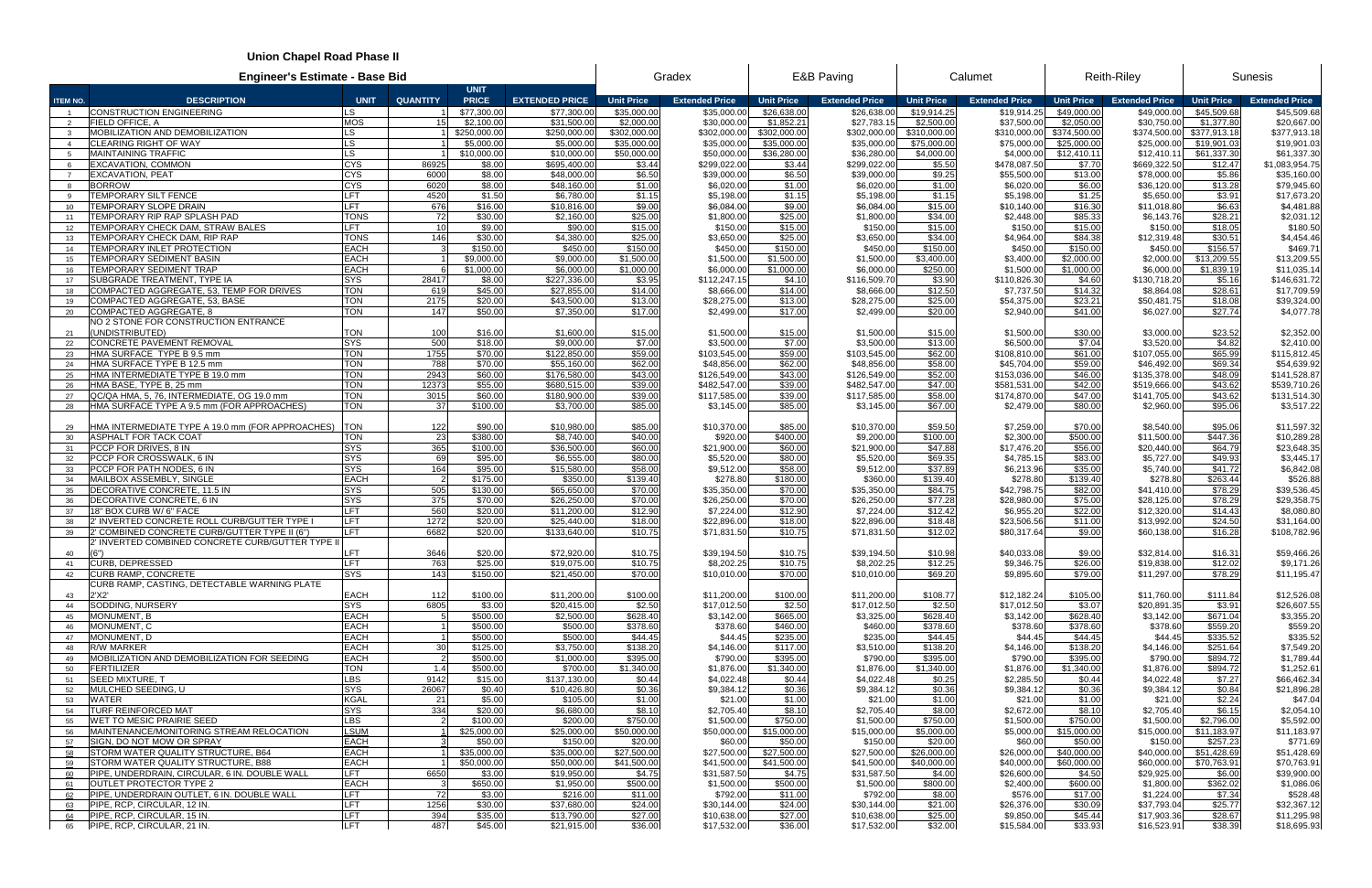## **Union Chapel Road Phase II**

| Union Chapel Road Phase II |                                                                              |                            |                 |                             |                            |                         |                            |                         |                             |                        |                            |                         |                             |                         |                               |
|----------------------------|------------------------------------------------------------------------------|----------------------------|-----------------|-----------------------------|----------------------------|-------------------------|----------------------------|-------------------------|-----------------------------|------------------------|----------------------------|-------------------------|-----------------------------|-------------------------|-------------------------------|
|                            | <b>Engineer's Estimate - Base Bid</b>                                        |                            | Gradex          | <b>E&amp;B Paving</b>       |                            | Calumet                 |                            | <b>Reith-Riley</b>      |                             | <b>Sunesis</b>         |                            |                         |                             |                         |                               |
| <b>ITEM NO.</b>            | <b>DESCRIPTION</b>                                                           | <b>UNIT</b>                | <b>QUANTITY</b> | <b>UNIT</b><br><b>PRICE</b> | <b>EXTENDED PRICE</b>      | <b>Unit Price</b>       | <b>Extended Price</b>      | <b>Unit Price</b>       | <b>Extended Price</b>       | <b>Unit Price</b>      | <b>Extended Price</b>      | <b>Unit Price</b>       | <b>Extended Price</b>       | <b>Unit Price</b>       | <b>Extended Price</b>         |
|                            | <b>CONSTRUCTION ENGINEERING</b>                                              | LS.                        |                 | \$77,300.00                 | \$77,300.0                 | \$35,000.00             | \$35,000.0                 | \$26,638.00             | \$26,638.0                  | \$19,914.25            | \$19,914.2                 | \$49,000.00             | \$49,000.0                  | \$45,509.68             | \$45,509.68                   |
| 2                          | <b>FIELD OFFICE, A</b>                                                       | <b>MOS</b>                 |                 | \$2,100.00                  | \$31,500.0                 | \$2,000.00              | \$30,000.0                 | \$1,852.21              | \$27,783.15                 | \$2,500.00             | \$37,500.00                | \$2,050.00              | \$30,750.00                 | \$1,377.80              | \$20,667.00                   |
| $\mathbf{3}$               | <b>MOBILIZATION AND DEMOBILIZATION</b>                                       | LS.                        |                 | \$250,000.00                | \$250,000.0                | \$302,000.00            | \$302,000.0                | \$302,000.00            | \$302,000.00                | \$310,000.00           | \$310,000.00               | \$374,500.00            | \$374,500.00                | \$377,913.18            | \$377,913.18                  |
| $\overline{4}$             | <b>CLEARING RIGHT OF WAY</b>                                                 | LS.                        |                 | \$5,000.00                  | \$5,000.0                  | \$35,000.00             | \$35,000.0                 | \$35,000.00             | \$35,000.00                 | \$75,000.00            | \$75,000.00                | \$25,000.00             | \$25,000.00                 | \$19,901.03             | \$19,901.03                   |
| 5<br>6                     | <b>MAINTAINING TRAFFIC</b><br><b>EXCAVATION, COMMON</b>                      | <b>LS</b><br><b>CYS</b>    | 86925           | \$10,000.00<br>\$8.00       | \$10,000.0<br>\$695,400.0  | \$50,000.00<br>\$3.44   | \$50,000.0<br>\$299,022.00 | \$36,280.00<br>\$3.44   | \$36,280.00<br>\$299,022.00 | \$4,000.00<br>\$5.50   | \$4,000.00<br>\$478,087.5  | \$12,410.1<br>\$7.70    | \$12,410.11<br>\$669,322.50 | \$61,337.30<br>\$12.47  | \$61,337.30<br>\$1,083,954.75 |
| $\overline{7}$             | <b>EXCAVATION, PEAT</b>                                                      | <b>CYS</b>                 | 6000            | \$8.00                      | \$48,000.0                 | \$6.50                  | \$39,000.00                | \$6.50                  | \$39,000.00                 | \$9.25                 | \$55,500.00                | \$13.00                 | \$78,000.00                 | \$5.86                  | \$35,160.00                   |
| - 8                        | <b>BORROW</b>                                                                | <b>CYS</b>                 | 6020            | \$8.00                      | \$48,160.0                 | \$1.00                  | \$6,020.00                 | \$1.00                  | \$6,020.00                  | \$1.00                 | \$6,020.00                 | \$6.00                  | \$36,120.00                 | \$13.28                 | \$79,945.60                   |
| 9                          | TEMPORARY SILT FENCE                                                         | LFT                        | 4520            | \$1.50                      | \$6,780.00                 | \$1.15                  | \$5,198.00                 | \$1.15                  | \$5,198.00                  | \$1.15                 | \$5,198.00                 | \$1.25                  | \$5,650.00                  | \$3.91                  | \$17,673.20                   |
| 10                         | TEMPORARY SLOPE DRAIN                                                        | LFT                        | 676             | \$16.00                     | \$10,816.00                | \$9.00                  | \$6,084.00                 | \$9.00                  | \$6,084.00                  | \$15.00                | \$10,140.00                | \$16.30                 | \$11,018.80                 | \$6.63                  | \$4,481.88                    |
| 11                         | TEMPORARY RIP RAP SPLASH PAD                                                 | <b>TONS</b>                | 72              | \$30.00                     | \$2,160.0                  | \$25.00                 | \$1,800.00                 | \$25.00                 | \$1,800.00                  | \$34.00                | \$2,448.00                 | \$85.33                 | \$6,143.76                  | \$28.21                 | \$2,031.12                    |
| 12                         | TEMPORARY CHECK DAM, STRAW BALES                                             | LFT                        | 10 <sup>1</sup> | \$9.00                      | \$90.00                    | \$15.00                 | \$150.00                   | \$15.00                 | \$150.00                    | \$15.00                | \$150.00                   | \$15.00                 | \$150.00                    | \$18.05                 | \$180.50                      |
| 13<br>14                   | TEMPORARY CHECK DAM, RIP RAP<br>TEMPORARY INLET PROTECTION                   | <b>TONS</b><br><b>EACH</b> | 146             | \$30.00<br>\$150.00         | \$4,380.00<br>\$450.0      | \$25.00<br>\$150.00     | \$3,650.00<br>\$450.00     | \$25.00<br>\$150.00     | \$3,650.00<br>\$450.00      | \$34.00<br>\$150.00    | \$4,964.00<br>\$450.00     | \$84.38<br>\$150.00     | \$12,319.48<br>\$450.00     | \$30.51<br>\$156.57     | \$4,454.46<br>\$469.71        |
| 15                         | TEMPORARY SEDIMENT BASIN                                                     | <b>EACH</b>                |                 | \$9,000.00                  | \$9,000.0                  | \$1,500.00              | \$1,500.0                  | \$1,500.00              | \$1,500.00                  | \$3,400.00             | \$3,400.00                 | \$2,000.00              | \$2,000.00                  | \$13,209.55             | \$13,209.55                   |
| 16                         | TEMPORARY SEDIMENT TRAP                                                      | <b>EACH</b>                |                 | \$1,000.00                  | \$6,000.0                  | \$1,000.00              | \$6,000.0                  | \$1,000.00              | \$6,000.00                  | \$250.00               | \$1,500.00                 | \$1,000.00              | \$6,000.00                  | \$1,839.19              | \$11,035.14                   |
| 17                         | SUBGRADE TREATMENT, TYPE IA                                                  | <b>SYS</b>                 | 28417           | \$8.00                      | \$227,336.00               | \$3.95                  | \$112,247.15               | \$4.10                  | \$116,509.70                | \$3.90                 | \$110,826.30               | \$4.60                  | \$130,718.20                | \$5.16                  | \$146,631.72                  |
| 18                         | COMPACTED AGGREGATE, 53, TEMP FOR DRIVES                                     | TON                        | 619             | \$45.00                     | \$27,855.0                 | \$14.00                 | \$8,666.00                 | \$14.00                 | \$8,666.00                  | \$12.50                | \$7,737.50                 | \$14.32                 | \$8,864.08                  | \$28.61                 | \$17,709.59                   |
| 19                         | COMPACTED AGGREGATE, 53, BASE                                                | <b>TON</b>                 | 2175            | \$20.00                     | \$43,500.0                 | \$13.00                 | \$28,275.00                | \$13.00                 | \$28,275.00                 | \$25.00                | \$54,375.00                | \$23.21                 | \$50,481.75                 | \$18.08                 | \$39,324.00                   |
| 20                         | COMPACTED AGGREGATE, 8                                                       | <b>TON</b>                 | 147             | \$50.00                     | \$7,350.00                 | \$17.00                 | \$2,499.00                 | \$17.00                 | \$2,499.00                  | \$20.00                | \$2,940.00                 | \$41.00                 | \$6,027.00                  | \$27.74                 | \$4,077.78                    |
|                            | NO 2 STONE FOR CONSTRUCTION ENTRANCE<br>UNDISTRIBUTED)                       | <b>TON</b>                 |                 |                             |                            |                         |                            |                         |                             |                        |                            |                         |                             |                         |                               |
| 21<br>22                   | <b>CONCRETE PAVEMENT REMOVAL</b>                                             | <b>SYS</b>                 | 100<br>500      | \$16.00<br>\$18.00          | \$1,600.00<br>\$9,000.0    | \$15.00<br>\$7.00       | \$1,500.00<br>\$3,500.00   | \$15.00<br>\$7.00       | \$1,500.00<br>\$3,500.00    | \$15.00<br>\$13.00     | \$1,500.00<br>\$6,500.00   | \$30.00<br>\$7.04       | \$3,000.00<br>\$3,520.00    | \$23.52<br>\$4.82       | \$2,352.00<br>\$2,410.00      |
| 23                         | HMA SURFACE TYPE B 9.5 mm                                                    | <b>TON</b>                 | 1755            | \$70.00                     | \$122,850.0                | \$59.00                 | \$103,545.00               | \$59.00                 | \$103,545.00                | \$62.00                | \$108,810.00               | \$61.00                 | \$107,055.00                | \$65.99                 | \$115,812.45                  |
| 24                         | HMA SURFACE TYPE B 12.5 mm                                                   | <b>TON</b>                 | 788             | \$70.00                     | \$55,160.0                 | \$62.00                 | \$48,856.00                | \$62.00                 | \$48,856.00                 | \$58.00                | \$45,704.00                | \$59.00                 | \$46,492.00                 | \$69.34                 | \$54,639.92                   |
| 25                         | HMA INTERMEDIATE TYPE B 19.0 mm                                              | <b>TON</b>                 | 2943            | \$60.00                     | \$176,580.0                | \$43.00                 | \$126,549.00               | \$43.00                 | \$126,549.00                | \$52.00                | \$153,036.00               | \$46.00                 | \$135,378.00                | \$48.09                 | \$141,528.87                  |
| 26                         | HMA BASE, TYPE B, 25 mm                                                      | TON                        | 12373           | \$55.00                     | \$680,515.00               | \$39.00                 | \$482,547.00               | \$39.00                 | \$482,547.00                | \$47.00                | \$581,531.00               | \$42.00                 | \$519,666.00                | \$43.62                 | \$539,710.26                  |
| 27                         | QC/QA HMA, 5, 76, INTERMEDIATE, OG 19.0 mm                                   | <b>TON</b>                 | 3015            | \$60.00                     | \$180,900.00               | \$39.00                 | \$117,585.00               | \$39.00                 | \$117,585.00                | \$58.00                | \$174,870.00               | \$47.00                 | \$141,705.00                | \$43.62                 | \$131,514.30                  |
| 28                         | HMA SURFACE TYPE A 9.5 mm (FOR APPROACHES)                                   | <b>TON</b>                 | 37              | \$100.00                    | \$3,700.00                 | \$85.00                 | \$3,145.00                 | \$85.00                 | \$3,145.00                  | \$67.00                | \$2,479.00                 | \$80.00                 | \$2,960.00                  | \$95.06                 | \$3,517.22                    |
| 29                         | HMA INTERMEDIATE TYPE A 19.0 mm (FOR APPROACHES)                             | <b>TON</b>                 | 122             | \$90.00                     | \$10,980.00                | \$85.00                 | \$10,370.00                | \$85.00                 | \$10,370.00                 | \$59.50                | \$7,259.00                 | \$70.00                 | \$8,540.00                  | \$95.06                 | \$11,597.32                   |
| 30                         | <b>ASPHALT FOR TACK COAT</b>                                                 | TON                        | 23              | \$380.00                    | \$8,740.0                  | \$40.00                 | \$920.00                   | \$400.00                | \$9,200.00                  | \$100.00               | \$2,300.00                 | \$500.00                | \$11,500.00                 | \$447.36                | \$10,289.28                   |
| 31                         | PCCP FOR DRIVES, 8 IN                                                        | <b>SYS</b>                 | 365             | \$100.00                    | \$36,500.0                 | \$60.00                 | \$21,900.00                | \$60.00                 | \$21,900.00                 | \$47.88                | \$17,476.20                | \$56.00                 | \$20,440.00                 | \$64.79                 | \$23,648.35                   |
| 32                         | PCCP FOR CROSSWALK, 6 IN                                                     | <b>SYS</b>                 | 69              | \$95.00                     | \$6,555.0                  | \$80.00                 | \$5,520.00                 | \$80.00                 | \$5,520.00                  | \$69.35                | \$4,785.15                 | \$83.00                 | \$5,727.00                  | \$49.93                 | \$3,445.17                    |
| 33                         | PCCP FOR PATH NODES, 6 IN                                                    | <b>SYS</b>                 | 164             | \$95.00                     | \$15,580.0                 | \$58.00                 | \$9,512.00                 | \$58.00                 | \$9,512.00                  | \$37.89                | \$6,213.96                 | \$35.00                 | \$5,740.00                  | \$41.72                 | \$6,842.08                    |
| 34                         | MAILBOX ASSEMBLY, SINGLE                                                     | <b>EACH</b>                |                 | \$175.00                    | \$350.00                   | \$139.40                | \$278.80                   | \$180.00                | \$360.00                    | \$139.40               | \$278.80                   | \$139.40                | \$278.80                    | \$263.44                | \$526.88                      |
| 35<br>36                   | DECORATIVE CONCRETE, 11.5 IN<br>DECORATIVE CONCRETE, 6 IN                    | <b>SYS</b><br><b>SYS</b>   | 505<br>375      | \$130.00<br>\$70.00         | \$65,650.00<br>\$26,250.00 | \$70.00<br>\$70.00      | \$35,350.00<br>\$26,250.00 | \$70.00<br>\$70.00      | \$35,350.00<br>\$26,250.00  | \$84.75<br>\$77.28     | \$42,798.75<br>\$28,980.00 | \$82.00<br>\$75.00      | \$41,410.00<br>\$28,125.00  | \$78.29<br>\$78.29      | \$39,536.45<br>\$29,358.75    |
| 37                         | 18" BOX CURB W/6" FACE                                                       | LFT                        | 560             | \$20.00                     | \$11,200.00                | \$12.90                 | \$7,224.00                 | \$12.90                 | \$7,224.00                  | \$12.42                | \$6,955.20                 | \$22.00                 | \$12,320.00                 | \$14.43                 | \$8,080.80                    |
| 38                         | 2' INVERTED CONCRETE ROLL CURB/GUTTER TYPE I                                 | <b>LFT</b>                 | 1272            | \$20.00                     | \$25,440.00                | \$18.00                 | \$22,896.00                | \$18.00                 | \$22,896.00                 | \$18.48                | \$23,506.56                | \$11.00                 | \$13,992.00                 | \$24.50                 | \$31,164.00                   |
| 39                         | 2' COMBINED CONCRETE CURB/GUTTER TYPE II (6")                                | LFT.                       | 6682            | \$20.00                     | \$133,640.00               | \$10.75                 | \$71,831.50                | \$10.75                 | \$71,831.50                 | \$12.02                | \$80,317.64                | \$9.00                  | \$60,138.00                 | \$16.28                 | \$108,782.96                  |
|                            | 2' INVERTED COMBINED CONCRETE CURB/GUTTER TYPE I                             |                            |                 |                             |                            |                         |                            |                         |                             |                        |                            |                         |                             |                         |                               |
| 40                         | (6")                                                                         | .FT                        | 3646            | \$20.00                     | \$72,920.00                | \$10.75                 | \$39,194.50                | \$10.75                 | \$39,194.50                 | \$10.98                | \$40,033.08                | \$9.00                  | \$32,814.00                 | \$16.31                 | \$59,466.26                   |
| 41                         | <b>CURB, DEPRESSED</b><br><b>CURB RAMP, CONCRETE</b>                         | LFT<br><b>SYS</b>          | 763<br>143      | \$25.00<br>\$150.00         | \$19,075.00<br>\$21.450.00 | \$10.75<br>\$70.00      | \$8,202.25<br>\$10,010.00  | \$10.75<br>\$70.00      | \$8,202.25<br>\$10,010.00   | \$12.25<br>\$69.20     | \$9,346.75<br>\$9,895.60   | \$26.00<br>\$79.00      | \$19,838.00<br>\$11,297.00  | \$12.02<br>\$78.29      | \$9,171.26<br>\$11,195.47     |
| 42                         | CURB RAMP, CASTING, DETECTABLE WARNING PLATE                                 |                            |                 |                             |                            |                         |                            |                         |                             |                        |                            |                         |                             |                         |                               |
| 43                         | 2'X2'                                                                        | <b>EACH</b>                | 112             | \$100.00                    | \$11,200.00                | \$100.00                | \$11,200.00                | \$100.00                | \$11,200.00                 | \$108.77               | \$12,182.24                | \$105.00                | \$11,760.00                 | \$111.84                | \$12,526.08                   |
| 44                         | SODDING, NURSERY                                                             | <b>SYS</b>                 | 6805            | \$3.00                      | \$20,415.00                | \$2.50                  | \$17,012.50                | \$2.50                  | \$17,012.50                 | \$2.50                 | \$17,012.50                | \$3.07                  | \$20,891.35                 | \$3.91                  | \$26,607.55                   |
| 45                         | <b>MONUMENT, B</b>                                                           | <b>EACH</b>                |                 | \$500.00                    | \$2,500.00                 | \$628.40                | \$3,142.00                 | \$665.00                | \$3,325.00                  | \$628.40               | \$3,142.00                 | \$628.40                | \$3,142.00                  | \$671.04                | \$3,355.20                    |
| 46                         | MONUMENT, C                                                                  | EACH                       |                 | \$500.00                    | \$500.00                   | \$378.60                | \$378.60                   | \$460.00                | \$460.00                    | \$378.60               | \$378.60                   | \$378.60                | \$378.60                    | \$559.20                | \$559.20                      |
| 47                         | MONUMENT, D                                                                  | EACH                       |                 | \$500.00                    | \$500.0                    | \$44.45                 | \$44.45                    | \$235.00                | \$235.00                    | \$44.45                | \$44.45                    | \$44.45                 | \$44.45                     | \$335.52                | \$335.52                      |
| 48<br>49                   | <b>R/W MARKER</b><br>MOBILIZATION AND DEMOBILIZATION FOR SEEDING             | EACH<br><b>EACH</b>        | 30 <sup>1</sup> | \$125.00<br>\$500.00        | \$3,750.00<br>\$1,000.00   | \$138.20<br>\$395.00    | \$4,146.00<br>\$790.00     | \$117.00<br>\$395.00    | \$3,510.00<br>\$790.00      | \$138.20<br>\$395.00   | \$4,146.00<br>\$790.00     | \$138.20<br>\$395.00    | \$4,146.00<br>\$790.00      | \$251.64<br>\$894.72    | \$7,549.20<br>\$1,789.44      |
| 50                         | <b>FERTILIZER</b>                                                            | TON                        | 1.4             | \$500.00                    | \$700.00                   | \$1,340.00              | \$1,876.00                 | \$1,340.00              | \$1,876.00                  | \$1,340.00             | \$1,876.00                 | \$1,340.00              | \$1,876.00                  | \$894.72                | \$1,252.61                    |
| 51                         | <b>SEED MIXTURE, T</b>                                                       | LBS                        | 9142            | \$15.00                     | \$137,130.00               | \$0.44                  | \$4,022.48                 | \$0.44                  | \$4,022.48                  | \$0.25                 | \$2,285.50                 | \$0.44                  | \$4,022.48                  | \$7.27                  | \$66,462.34                   |
| 52                         | MULCHED SEEDING, U                                                           | <b>SYS</b>                 | 26067           | \$0.40                      | \$10,426.80                | \$0.36                  | \$9,384.12                 | \$0.36                  | \$9,384.12                  | \$0.36                 | \$9,384.12                 | \$0.36                  | \$9,384.12                  | \$0.84                  | \$21,896.28                   |
| 53                         | <b>WATER</b>                                                                 | <b>KGAL</b>                | 21              | \$5.00                      | \$105.00                   | \$1.00                  | \$21.00                    | \$1.00                  | \$21.00                     | \$1.00                 | \$21.00                    | \$1.00                  | \$21.00                     | \$2.24                  | \$47.04                       |
| 54                         | <b>TURF REINFORCED MAT</b>                                                   | <b>SYS</b>                 | 334             | \$20.00                     | \$6,680.0                  | \$8.10                  | \$2,705.40                 | \$8.10                  | \$2,705.40                  | \$8.00                 | \$2,672.00                 | \$8.10                  | \$2,705.40                  | \$6.15                  | \$2,054.10                    |
| 55                         | <b>WET TO MESIC PRAIRIE SEED</b><br>MAINTENANCE/MONITORING STREAM RELOCATION | <b>LBS</b><br><b>LSUM</b>  |                 | \$100.00<br>\$25,000.00     | \$200.00<br>\$25,000.00    | \$750.00<br>\$50,000.00 | \$1,500.00                 | \$750.00<br>\$15,000.00 | \$1,500.00<br>\$15,000.00   | \$750.00<br>\$5,000.00 | \$1,500.00<br>\$5,000.00   | \$750.00<br>\$15,000.00 | \$1,500.00                  | \$2,796.00              | \$5,592.00<br>\$11,183.97     |
| 56<br>57                   | SIGN, DO NOT MOW OR SPRAY                                                    | <b>EACH</b>                |                 | \$50.00                     | \$150.00                   | \$20.00                 | \$50,000.00<br>\$60.00     | \$50.00                 | \$150.00                    | \$20.00                | \$60.00                    | \$50.00                 | \$15,000.00<br>\$150.00     | \$11,183.97<br>\$257.23 | \$771.69                      |
| 58                         | STORM WATER QUALITY STRUCTURE, B64                                           | <b>EACH</b>                |                 | \$35,000.00                 | \$35,000.00                | \$27,500.00             | \$27,500.00                | \$27,500.00             | \$27,500.00                 | \$26,000.00            | \$26,000.00                | \$40,000.00             | \$40,000.00                 | \$51,428.69             | \$51,428.69                   |
| 59                         | STORM WATER QUALITY STRUCTURE, B88                                           | <b>EACH</b>                |                 | \$50,000.00                 | \$50,000.00                | \$41,500.00             | \$41,500.00                | \$41,500.00             | \$41,500.00                 | \$40,000.00            | \$40,000.00                | \$60,000.00             | \$60,000.00                 | \$70,763.91             | \$70,763.91                   |
| 60                         | PIPE, UNDERDRAIN, CIRCULAR, 6 IN. DOUBLE WALL                                | LFT.                       | 6650            | \$3.00                      | \$19,950.00                | \$4.75                  | \$31,587.50                | \$4.75                  | \$31,587.50                 | \$4.00                 | \$26,600.00                | \$4.50                  | \$29,925.00                 | \$6.00                  | \$39,900.00                   |
| 61                         | OUTLET PROTECTOR TYPE 2                                                      | <b>EACH</b>                |                 | \$650.00                    | \$1,950.00                 | \$500.00                | \$1,500.00                 | \$500.00                | \$1,500.00                  | \$800.00               | \$2,400.00                 | \$600.00                | \$1,800.00                  | \$362.02                | \$1,086.06                    |
| 62                         | PIPE, UNDERDRAIN OUTLET, 6 IN. DOUBLE WALL                                   | LFT                        | 72              | \$3.00                      | \$216.00                   | \$11.00                 | \$792.00                   | \$11.00                 | \$792.00                    | \$8.00                 | \$576.00                   | \$17.00                 | \$1,224.00                  | \$7.34                  | \$528.48                      |
| 63                         | PIPE, RCP, CIRCULAR, 12 IN.                                                  | LFT                        | 1256            | \$30.00                     | \$37,680.00                | \$24.00                 | \$30,144.00                | \$24.00                 | \$30,144.00                 | \$21.00                | \$26,376.00                | \$30.09                 | \$37,793.04                 | \$25.77                 | \$32,367.12                   |
| 64<br>65                   | PIPE, RCP, CIRCULAR, 15 IN.<br>PIPE, RCP, CIRCULAR, 21 IN.                   | LFT.<br><b>LFT</b>         | 394<br>487      | \$35.00<br>\$45.00          | \$13,790.00<br>\$21,915.00 | \$27.00<br>\$36.00      | \$10,638.00<br>\$17,532.00 | \$27.00<br>\$36.00      | \$10,638.00<br>\$17,532.00  | \$25.00<br>\$32.00     | \$9,850.00<br>\$15,584.00  | \$45.44<br>\$33.93      | \$17,903.36<br>\$16,523.91  | \$28.67<br>\$38.39      | \$11,295.98<br>\$18,695.93    |
|                            |                                                                              |                            |                 |                             |                            |                         |                            |                         |                             |                        |                            |                         |                             |                         |                               |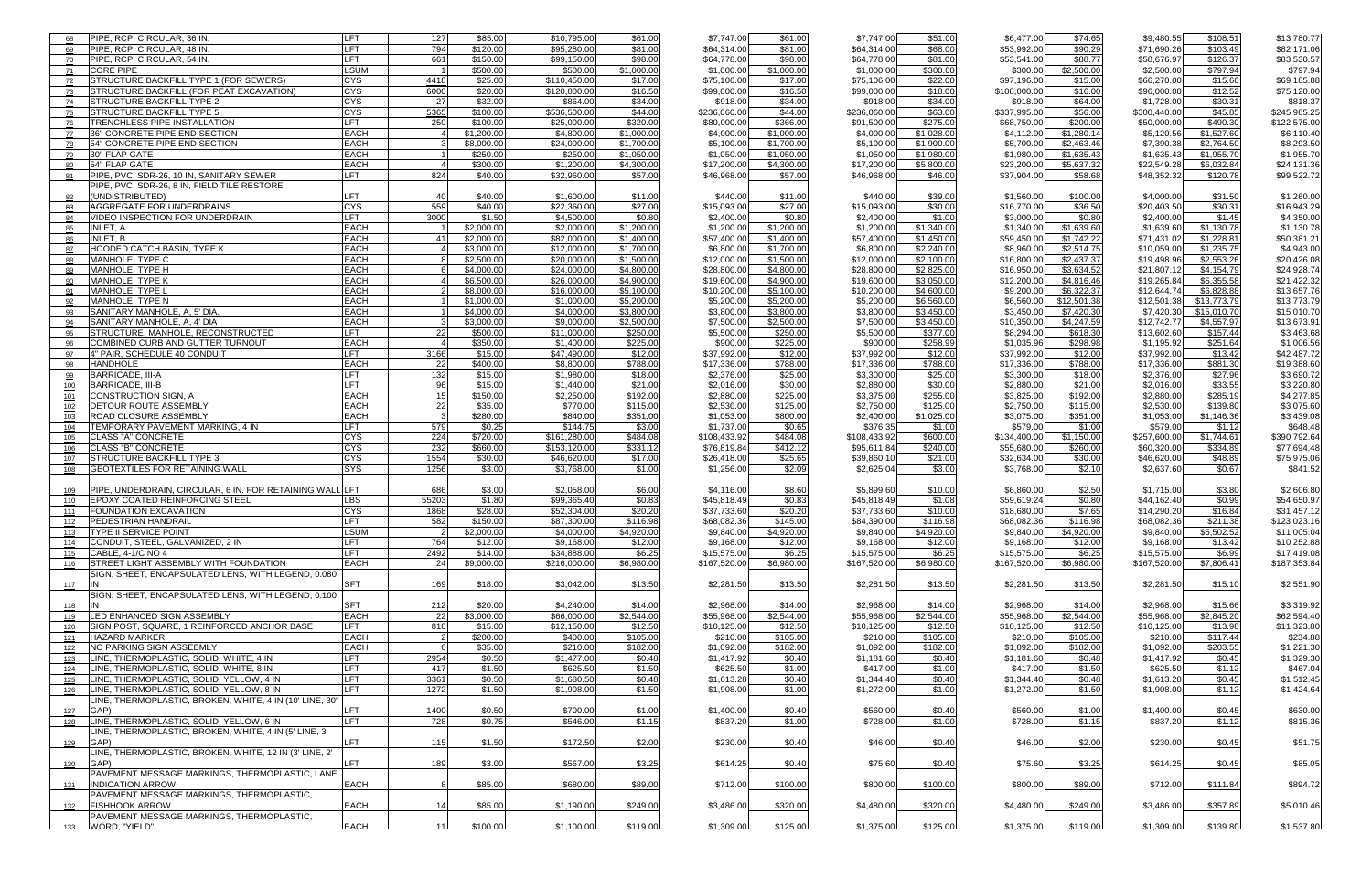| 68  | PIPE, RCP, CIRCULAR, 36 IN.                              | <b>LFT</b>  | 127            | \$85.00    | \$10,795.00  | \$61.00    | \$7,747.00   | \$61.00    | \$7,747.00   | \$51.00    | \$6,477.00   | \$74.65     | \$9,480.55   | \$108.51    | \$13,780.77  |
|-----|----------------------------------------------------------|-------------|----------------|------------|--------------|------------|--------------|------------|--------------|------------|--------------|-------------|--------------|-------------|--------------|
| 69  | PIPE, RCP, CIRCULAR, 48 IN.                              | <b>LFT</b>  | 794            | \$120.00   | \$95,280.00  | \$81.00    | \$64,314.00  | \$81.00    | \$64,314.00  | \$68.00    | \$53,992.00  | \$90.29     | \$71,690.26  | \$103.49    | \$82,171.06  |
| 70  | PIPE, RCP, CIRCULAR, 54 IN.                              | LFT.        | 661            | \$150.00   | \$99,150.00  | \$98.00    | \$64,778.00  | \$98.00    | \$64,778.00  | \$81.00    | \$53,541.00  | \$88.77     | \$58,676.97  | \$126.37    | \$83,530.57  |
| 71  | <b>CORE PIPE</b>                                         | LSUM        |                | \$500.00   | \$500.00     | \$1,000.00 | \$1,000.0    | \$1,000.00 | \$1,000.00   | \$300.00   | \$300.00     | \$2,500.00  | \$2,500.00   | \$797.94    | \$797.94     |
| 72  | <b>STRUCTURE BACKFILL TYPE 1 (FOR SEWERS)</b>            | <b>CYS</b>  | 4418           | \$25.00    | \$110,450.00 | \$17.00    | \$75,106.0   | \$17.00    | \$75,106.00  | \$22.00    | \$97,196.00  | \$15.00     | \$66,270.00  | \$15.66     | \$69,185.88  |
| 73  | STRUCTURE BACKFILL (FOR PEAT EXCAVATION)                 | <b>CYS</b>  | 6000           | \$20.00    | \$120,000.0  | \$16.50    | \$99,000.00  | \$16.50    | \$99,000.00  | \$18.00    | \$108,000.00 | \$16.00     | \$96,000.00  | \$12.52     | \$75,120.00  |
| 74  | <b>STRUCTURE BACKFILL TYPE 2</b>                         | <b>CYS</b>  | 27             | \$32.00    | \$864.00     | \$34.00    | \$918.00     | \$34.00    | \$918.00     | \$34.00    | \$918.00     | \$64.00     | \$1,728.00   | \$30.31     | \$818.37     |
| 75  | <b>STRUCTURE BACKFILL TYPE 5</b>                         | <b>CYS</b>  | 5365           | \$100.00   | \$536,500.00 | \$44.00    | \$236,060.00 | \$44.00    | \$236,060.00 | \$63.00    | \$337,995.00 | \$56.00     | \$300,440.00 | \$45.85     | \$245,985.25 |
| 76  | TRENCHLESS PIPE INSTALLATION                             | LFT         | 250            | \$100.00   | \$25,000.0   | \$320.00   | \$80,000.00  | \$366.00   | \$91,500.00  | \$275.00   | \$68,750.00  | \$200.00    | \$50,000.00  | \$490.30    | \$122,575.00 |
| 77  | 36" CONCRETE PIPE END SECTION                            | <b>EACH</b> |                | \$1,200.00 | \$4,800.0    | \$1,000.00 | \$4,000.00   | \$1,000.00 | \$4,000.00   | \$1,028.00 | \$4,112.00   | \$1,280.14  | \$5,120.56   | \$1,527.60  | \$6,110.40   |
| 78  | 54" CONCRETE PIPE END SECTION                            | <b>EACH</b> |                | \$8,000.00 | \$24,000.00  | \$1,700.00 | \$5,100.0    | \$1,700.00 | \$5,100.00   | \$1,900.00 | \$5,700.00   | \$2,463.46  | \$7,390.38   | \$2.764.50  | \$8,293.50   |
| 79  | 30" FLAP GATE                                            | <b>EACH</b> |                | \$250.00   | \$250.00     | \$1.050.00 | \$1,050.0    | \$1,050.00 | \$1,050.00   | \$1,980.00 | \$1,980.00   | \$1,635.43  | \$1,635.43   | \$1,955.70  | \$1,955.70   |
| 80  | 54" FLAP GATE                                            | <b>EACH</b> |                | \$300.00   | \$1,200.00   | \$4,300.00 | \$17,200.00  | \$4,300.00 | \$17,200.00  | \$5,800.00 | \$23,200.00  | \$5,637.32  | \$22,549.28  | \$6,032.84  | \$24,131.36  |
| 81  | PIPE, PVC, SDR-26, 10 IN, SANITARY SEWER                 | LFT.        | 824            | \$40.00    | \$32,960.00  | \$57.00    | \$46,968.00  | \$57.00    | \$46,968.00  | \$46.00    | \$37,904.00  | \$58.68     | \$48,352.32  | \$120.78    | \$99,522.72  |
|     | PIPE, PVC, SDR-26, 8 IN, FIELD TILE RESTORE              |             |                |            |              |            |              |            |              |            |              |             |              |             |              |
|     | (UNDISTRIBUTED)                                          | LFT         | 40             | \$40.00    | \$1,600.00   | \$11.00    | \$440.00     | \$11.00    | \$440.00     | \$39.00    | \$1,560.00   | \$100.00    | \$4,000.00   | \$31.50     | \$1,260.00   |
| 83  | AGGREGATE FOR UNDERDRAINS                                | <b>CYS</b>  | 559            | \$40.00    | \$22,360.00  | \$27.00    | \$15,093.00  | \$27.00    | \$15,093.00  | \$30.00    | \$16,770.00  | \$36.50     | \$20,403.50  | \$30.31     | \$16,943.29  |
| 84  | VIDEO INSPECTION FOR UNDERDRAIN                          | <b>LFT</b>  | 3000           | \$1.50     | \$4,500.00   | \$0.80     | \$2,400.00   | \$0.80     | \$2,400.00   | \$1.00     | \$3,000.00   | \$0.80      | \$2,400.00   | \$1.45      | \$4,350.00   |
| 85  | <b>INLET. A</b>                                          | <b>EACH</b> |                | \$2,000.00 | \$2,000.00   | \$1,200.00 | \$1,200.00   | \$1,200.00 | \$1,200.00   | \$1,340.00 | \$1,340.00   | \$1,639.60  | \$1,639.60   | \$1,130.78  | \$1,130.78   |
| 86  | <b>INLET. B</b>                                          | <b>EACH</b> | 41             | \$2,000.00 | \$82,000.00  | \$1,400.00 | \$57,400.0   | \$1,400.00 | \$57,400.00  | \$1,450.00 | \$59,450.00  | \$1,742.22  | \$71,431.02  | \$1,228.81  | \$50,381.21  |
|     | <b>HOODED CATCH BASIN, TYPE K</b>                        | <b>EACH</b> |                | \$3,000.00 | \$12,000.0   | \$1,700.00 | \$6,800.0    | \$1,700.00 | \$6,800.00   | \$2,240.00 | \$8,960.00   | \$2,514.75  | \$10,059.00  | \$1,235.75  | \$4,943.00   |
| 88  | <b>MANHOLE, TYPE C</b>                                   | <b>EACH</b> |                | \$2,500.00 | \$20,000.0   | \$1,500.00 | \$12,000.0   | \$1,500.00 | \$12,000.00  | \$2,100.00 | \$16,800.00  | \$2,437.37  | \$19,498.96  | \$2,553.26  | \$20,426.08  |
|     | MANHOLE, TYPE H                                          | <b>EACH</b> |                | \$4,000.00 | \$24,000.0   | \$4,800.00 | \$28,800.0   | \$4,800.00 | \$28,800.00  | \$2,825.00 | \$16,950.00  | \$3,634.52  | \$21,807.12  | \$4,154.79  | \$24,928.74  |
| 90  | MANHOLE, TYPE K                                          | <b>EACH</b> |                | \$6,500.00 | \$26,000.0   | \$4,900.00 | \$19,600.0   | \$4,900.00 | \$19,600.00  | \$3,050.00 | \$12,200.00  | \$4,816.46  | \$19,265.84  | \$5,355.58  | \$21,422.32  |
| 91  | <b>MANHOLE, TYPE L</b>                                   | EACH        |                | \$8,000.00 | \$16,000.0   | \$5,100.00 | \$10,200.0   | \$5,100.00 | \$10,200.00  | \$4,600.00 | \$9,200.00   | \$6,322.37  | \$12,644.74  | \$6.828.88  | \$13,657.76  |
| 92  | MANHOLE, TYPE N                                          | <b>EACH</b> |                | \$1,000.00 | \$1,000.0    | \$5,200.00 | \$5,200.0    | \$5,200.00 | \$5,200.00   | \$6,560.00 | \$6,560.00   | \$12,501.38 | \$12,501.38  | \$13,773.79 | \$13,773.79  |
| 93  | SANITARY MANHOLE, A. 5' DIA.                             | <b>EACH</b> |                | \$4,000.00 | \$4,000.0    | \$3.800.00 | \$3,800.0    | \$3,800.00 | \$3,800.00   | \$3,450.00 | \$3,450.00   | \$7,420.30  | \$7,420.30   | \$15,010.70 | \$15,010.70  |
| 94  | SANITARY MANHOLE, A, 4' DIA                              | <b>EACH</b> |                | \$3,000.00 | \$9,000.00   | \$2,500.00 | \$7,500.00   | \$2,500.00 | \$7,500.00   | \$3,450.00 | \$10,350.00  | \$4,247.59  | \$12,742.77  | \$4,557.97  | \$13,673.91  |
| 95  | STRUCTURE, MANHOLE, RECONSTRUCTED                        | LFT         | <b>221</b>     | \$500.00   | \$11,000.00  | \$250.00   | \$5,500.00   | \$250.00   | \$5,500.00   | \$377.00   | \$8,294.00   | \$618.30    | \$13,602.60  | \$157.44    | \$3,463.68   |
| 96  | COMBINED CURB AND GUTTER TURNOUT                         | <b>EACH</b> |                | \$350.00   | \$1,400.00   | \$225.00   | \$900.0      | \$225.00   | \$900.00     | \$258.99   | \$1,035.96   | \$298.98    | \$1,195.92   | \$251.64    | \$1,006.56   |
| 97  | 4" PAIR, SCHEDULE 40 CONDUIT                             | <b>LFT</b>  | 3166           | \$15.00    | \$47,490.00  | \$12.00    | \$37,992.00  | \$12.00    | \$37,992.00  | \$12.00    | \$37,992.00  | \$12.00     | \$37,992.00  | \$13.42     | \$42,487.72  |
| 98  | <b>HANDHOLE</b>                                          | <b>EACH</b> | 22             | \$400.00   | \$8,800.0    | \$788.00   | \$17,336.00  | \$788.00   | \$17,336.00  | \$788.00   | \$17,336.00  | \$788.00    | \$17,336.00  | \$881.30    | \$19,388.60  |
| 99  | <b>BARRICADE, III-A</b>                                  | <b>LFT</b>  | 132            | \$15.00    | \$1,980.00   | \$18.00    | \$2,376.00   | \$25.00    | \$3,300.00   | \$25.00    | \$3,300.00   | \$18.00     | \$2,376.00   | \$27.96     | \$3,690.72   |
| 100 | <b>BARRICADE, III-B</b>                                  | <b>LFT</b>  | 96             | \$15.00    | \$1,440.00   | \$21.00    | \$2,016.00   | \$30.00    | \$2,880.00   | \$30.00    | \$2,880.00   | \$21.00     | \$2,016.00   | \$33.55     | \$3,220.80   |
| 101 | <b>CONSTRUCTION SIGN, A</b>                              | <b>EACH</b> | 15             | \$150.00   | \$2,250.00   | \$192.00   | \$2,880.00   | \$225.00   | \$3,375.00   | \$255.00   | \$3,825.00   | \$192.00    | \$2,880.00   | \$285.19    | \$4,277.85   |
| 102 | DETOUR ROUTE ASSEMBLY                                    | <b>EACH</b> | 22             | \$35.00    | \$770.00     | \$115.00   | \$2,530.00   | \$125.00   | \$2,750.00   | \$125.00   | \$2,750.00   | \$115.00    | \$2,530.00   | \$139.80    | \$3,075.60   |
| 103 | <b>ROAD CLOSURE ASSEMBLY</b>                             | <b>EACH</b> | -3             | \$280.00   | \$840.00     | \$351.00   | \$1,053.00   | \$800.00   | \$2,400.00   | \$1,025.00 | \$3,075.00   | \$351.00    | \$1,053.00   | \$1,146.36  | \$3,439.08   |
|     |                                                          | <b>LFT</b>  | 579            | \$0.25     | \$144.75     | \$3.00     |              | \$0.65     |              |            | \$579.00     | \$1.00      |              |             |              |
| 104 | TEMPORARY PAVEMENT MARKING, 4 IN                         | CYS         |                |            |              |            | \$1,737.00   |            | \$376.35     | \$1.00     |              |             | \$579.00     | \$1.12      | \$648.48     |
| 105 | <b>CLASS "A" CONCRETE</b>                                |             | 224            | \$720.00   | \$161,280.00 | \$484.08   | \$108,433.9  | \$484.08   | \$108,433.92 | \$600.00   | \$134,400.00 | \$1,150.00  | \$257,600.00 | \$1,744.61  | \$390,792.64 |
| 106 | <b>CLASS "B" CONCRETE</b>                                | CYS         | 232            | \$660.00   | \$153,120.00 | \$331.12   | \$76,819.8   | \$412.12   | \$95,611.84  | \$240.00   | \$55,680.00  | \$260.00    | \$60,320.00  | \$334.89    | \$77,694.48  |
|     | STRUCTURE BACKFILL TYPE 3                                | <b>CYS</b>  | 1554           | \$30.00    | \$46,620.00  | \$17.00    | \$26,418.00  | \$25.65    | \$39,860.10  | \$21.00    | \$32,634.00  | \$30.00     | \$46,620.00  | \$48.89     | \$75,975.06  |
| 108 | GEOTEXTILES FOR RETAINING WALL                           | SYS         | 1256           | \$3.00     | \$3.768.00   | \$1.00     | \$1,256.00   | \$2.09     | \$2,625.04   | \$3.00     | \$3,768.00   | \$2.10      | \$2,637.60   | \$0.67      | \$841.52     |
|     |                                                          |             |                |            |              |            |              |            |              |            |              |             |              |             |              |
|     | PIPE, UNDERDRAIN, CIRCULAR, 6 IN. FOR RETAINING WALL LFT |             | 686            | \$3.00     | \$2.058.00   | \$6.00     | \$4,116.00   | \$8.60     | \$5,899.60   | \$10.00    | \$6,860.00   | \$2.50      | \$1,715.00   | \$3.80      | \$2,606.80   |
| 110 | <b>EPOXY COATED REINFORCING STEEL</b>                    | LBS         | 55203          | \$1.80     | \$99,365.40  | \$0.83     | \$45,818.49  | \$0.83     | \$45,818.49  | \$1.08     | \$59,619.24  | \$0.80      | \$44,162.40  | \$0.99      | \$54,650.97  |
| 111 | <b>FOUNDATION EXCAVATION</b>                             | <b>CYS</b>  | 1868           | \$28.00    | \$52,304.00  | \$20.20    | \$37,733.60  | \$20.20    | \$37,733.60  | \$10.00    | \$18,680.00  | \$7.65      | \$14,290.20  | \$16.84     | \$31,457.12  |
| 112 | <b>PEDESTRIAN HANDRAIL</b>                               | <b>LFT</b>  | 582            | \$150.00   | \$87,300.00  | \$116.98   | \$68,082.36  | \$145.00   | \$84,390.00  | \$116.98   | \$68,082.36  | \$116.98    | \$68,082.36  | \$211.38    | \$123,023.16 |
| 113 | <b>TYPE II SERVICE POINT</b>                             | LSUM        | $\mathcal{D}$  | \$2,000.00 | \$4,000.00   | \$4,920.00 | \$9,840.00   | \$4,920.00 | \$9,840.00   | \$4,920.00 | \$9,840.00   | \$4,920.00  | \$9,840.00   | \$5,502.52  | \$11,005.04  |
| 114 | CONDUIT, STEEL, GALVANIZED, 2 IN                         | LFT         | 764            | \$12.00    | \$9,168.00   | \$12.00    | \$9,168.00   | \$12.00    | \$9,168.00   | \$12.00    | \$9,168.00   | \$12.00     | \$9,168.00   | \$13.42     | \$10,252.88  |
| 115 | CABLE, 4-1/C NO 4                                        | <b>LFT</b>  | 2492           | \$14.00    | \$34,888.00  | \$6.25     | \$15,575.00  | \$6.25     | \$15,575.00  | \$6.25     | \$15,575.00  | \$6.25      | \$15,575.00  | \$6.99      | \$17,419.08  |
| 116 | <b>STREET LIGHT ASSEMBLY WITH FOUNDATION</b>             | <b>EACH</b> | 24             | \$9,000.00 | \$216,000.00 | \$6,980.00 | \$167,520.00 | \$6,980.00 | \$167,520.00 | \$6,980.00 | \$167,520.00 | \$6,980.00  | \$167,520.00 | \$7,806.41  | \$187,353.84 |
|     | SIGN, SHEET, ENCAPSULATED LENS, WITH LEGEND, 0.080       |             |                |            |              |            |              |            |              |            |              |             |              |             |              |
| 117 | IN                                                       | <b>SFT</b>  | 169            | \$18.00    | \$3,042.00   | \$13.50    | \$2,281.50   | \$13.50    | \$2,281.50   | \$13.50    | \$2,281.50   | \$13.50     | \$2,281.50   | \$15.10     | \$2,551.90   |
|     | SIGN, SHEET, ENCAPSULATED LENS, WITH LEGEND, 0.100       |             |                |            |              |            |              |            |              |            |              |             |              |             |              |
| 118 | IN                                                       | <b>SFT</b>  | 212            | \$20.00    | \$4,240.00   | \$14.00    | \$2,968.00   | \$14.00    | \$2,968.00   | \$14.00    | \$2,968.00   | \$14.00     | \$2,968.00   | \$15.66     | \$3,319.92   |
| 119 | <b>ILED ENHANCED SIGN ASSEMBLY</b>                       | <b>EACH</b> | 22             | \$3,000.00 | \$66,000.00  | \$2,544.00 | \$55,968.00  | \$2,544.00 | \$55,968.00  | \$2,544.00 | \$55,968.00  | \$2,544.00  | \$55,968.00  | \$2,845.20  | \$62,594.40  |
| 120 | SIGN POST, SQUARE, 1 REINFORCED ANCHOR BASE              | LFT.        | 810            | \$15.00    | \$12,150.00  | \$12.50    | \$10,125.00  | \$12.50    | \$10,125.00  | \$12.50    | \$10,125.00  | \$12.50     | \$10,125.00  | \$13.98     | \$11,323.80  |
| 121 | <b>HAZARD MARKER</b>                                     | <b>EACH</b> | $\overline{2}$ | \$200.00   | \$400.00     | \$105.00   | \$210.00     | \$105.00   | \$210.00     | \$105.00   | \$210.00     | \$105.00    | \$210.00     | \$117.44    | \$234.88     |
| 122 | INO PARKING SIGN ASSEBMLY                                | <b>EACH</b> | 6              | \$35.00    | \$210.00     | \$182.00   | \$1,092.00   | \$182.00   | \$1,092.00   | \$182.00   | \$1,092.00   | \$182.00    | \$1,092.00   | \$203.55    | \$1,221.30   |
| 123 | LINE, THERMOPLASTIC, SOLID, WHITE, 4 IN                  | LFT.        | 2954           | \$0.50     | \$1,477.00   | \$0.48     | \$1,417.92   | \$0.40     | \$1,181.60   | \$0.40     | \$1,181.60   | \$0.48      | \$1,417.92   | \$0.45      | \$1,329.30   |
| 124 | LINE, THERMOPLASTIC, SOLID, WHITE, 8 IN                  | <b>LFT</b>  | 417            | \$1.50     | \$625.50     | \$1.50     | \$625.50     | \$1.00     | \$417.00     | \$1.00     | \$417.00     | \$1.50      | \$625.50     | \$1.12      | \$467.04     |
| 125 | LINE, THERMOPLASTIC, SOLID, YELLOW, 4 IN                 | <b>LFT</b>  | 3361           | \$0.50     | \$1,680.50   | \$0.48     | \$1,613.28   | \$0.40     | \$1,344.40   | \$0.40     | \$1,344.40   | \$0.48      | \$1,613.28   | \$0.45      | \$1,512.45   |
| 126 | LINE, THERMOPLASTIC, SOLID, YELLOW, 8 IN                 | <b>LFT</b>  | 1272           | \$1.50     | \$1,908.00   | \$1.50     | \$1,908.00   | \$1.00     | \$1,272.00   | \$1.00     | \$1,272.00   | \$1.50      | \$1,908.00   | \$1.12      | \$1,424.64   |
|     | LINE, THERMOPLASTIC, BROKEN, WHITE, 4 IN (10' LINE, 30'  |             |                |            |              |            |              |            |              |            |              |             |              |             |              |
| 127 | GAP)                                                     | LFT.        | 1400           | \$0.50     | \$700.00     | \$1.00     | \$1,400.00   | \$0.40     | \$560.00     | \$0.40     | \$560.00     | \$1.00      | \$1,400.00   | \$0.45      | \$630.00     |
| 128 | LINE, THERMOPLASTIC, SOLID, YELLOW, 6 IN                 | <b>LFT</b>  | 728            | \$0.75     | \$546.00     | \$1.15     | \$837.20     | \$1.00     | \$728.00     | \$1.00     | \$728.00     | \$1.15      | \$837.20     | \$1.12      | \$815.36     |
|     | LINE, THERMOPLASTIC, BROKEN, WHITE, 4 IN (5' LINE, 3'    |             |                |            |              |            |              |            |              |            |              |             |              |             |              |
| 129 | GAP)                                                     | LFT.        | 115            | \$1.50     | \$172.50     | \$2.00     | \$230.00     | \$0.40     | \$46.00      | \$0.40     | \$46.00      | \$2.00      | \$230.00     | \$0.45      | \$51.75      |
|     | LINE, THERMOPLASTIC, BROKEN, WHITE, 12 IN (3' LINE, 2'   |             |                |            |              |            |              |            |              |            |              |             |              |             |              |
| 130 | GAP)                                                     | LFT         | 189            | \$3.00     | \$567.00     | \$3.25     | \$614.25     | \$0.40     | \$75.60      | \$0.40     | \$75.60      | \$3.25      | \$614.25     | \$0.45      | \$85.05      |
|     | PAVEMENT MESSAGE MARKINGS, THERMOPLASTIC, LANE           |             |                |            |              |            |              |            |              |            |              |             |              |             |              |
| 131 | <b>INDICATION ARROW</b>                                  | <b>EACH</b> |                | \$85.00    | \$680.00     | \$89.00    | \$712.00     | \$100.00   | \$800.00     | \$100.00   | \$800.00     | \$89.00     | \$712.00     | \$111.84    | \$894.72     |
|     | PAVEMENT MESSAGE MARKINGS, THERMOPLASTIC,                |             |                |            |              |            |              |            |              |            |              |             |              |             |              |
|     | <b>FISHHOOK ARROW</b>                                    | <b>EACH</b> | 14             | \$85.00    | \$1,190.00   | \$249.00   | \$3,486.00   | \$320.00   | \$4,480.00   | \$320.00   | \$4,480.00   | \$249.00    | \$3,486.00   | \$357.89    | \$5,010.46   |
|     | PAVEMENT MESSAGE MARKINGS, THERMOPLASTIC,                |             |                |            |              |            |              |            |              |            |              |             |              |             |              |
| 133 | WORD. "YIELD"                                            | EACH        | 11             | \$100.00   | \$1.100.00   | \$119.00   | \$1.309.00   | \$125.00   | \$1.375.00   | \$125.00   | \$1.375.00   | \$119.00    | \$1.309.00   | \$139.80    | \$1.537.80   |
|     |                                                          |             |                |            |              |            |              |            |              |            |              |             |              |             |              |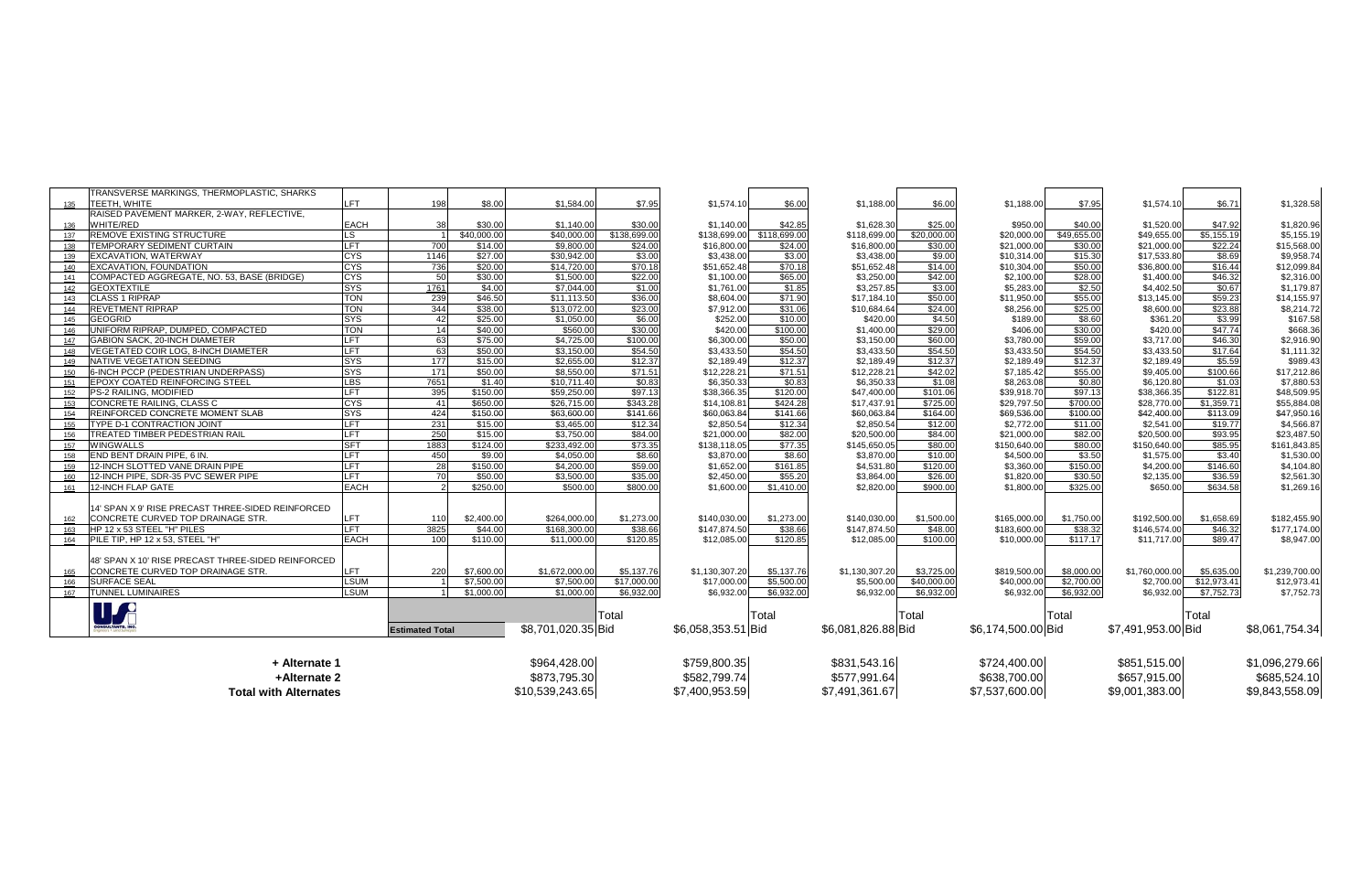|     | TRANSVERSE MARKINGS, THERMOPLASTIC, SHARKS                                             |              |                        |              |                    |              |                    |              |                    |              |                    |                |                    |             |                |
|-----|----------------------------------------------------------------------------------------|--------------|------------------------|--------------|--------------------|--------------|--------------------|--------------|--------------------|--------------|--------------------|----------------|--------------------|-------------|----------------|
| 135 | Ітеєтн. white                                                                          | FT.          | 198                    | \$8.00       | \$1,584.00         | \$7.95       | \$1.574.10         | \$6.00       | \$1,188.00         | \$6.00       | \$1,188.00         | \$7.95         | \$1,574.10         | \$6.71      | \$1,328.58     |
|     | RAISED PAVEMENT MARKER, 2-WAY, REFLECTIVE,                                             |              |                        |              |                    |              |                    |              |                    |              |                    |                |                    |             |                |
| 136 | <b>WHITE/RED</b>                                                                       | <b>EACH</b>  | 38                     | \$30.00      | \$1,140.00         | \$30.00      | \$1.140.00         | \$42.85      | \$1,628.30         | \$25.00      | \$950.00           | \$40.00        | \$1,520.00         | \$47.92     | \$1,820.96     |
| 137 | REMOVE EXISTING STRUCTURE                                                              | LS           |                        | \$40,000.00  | \$40,000.0         | \$138,699.00 | \$138,699.00       | \$118,699.00 | \$118,699.00       | \$20,000.00  | \$20,000.0         | \$49,655.00    | \$49,655.00        | \$5,155.19  | \$5,155.19     |
| 138 | TEMPORARY SEDIMENT CURTAIN                                                             | LFT          | 700                    | \$14.00      | \$9,800.00         | \$24.00      | \$16,800.00        | \$24.00      | \$16,800.00        | \$30.00      | \$21,000.00        | \$30.00        | \$21,000.00        | \$22.24     | \$15,568.00    |
| 139 | <b>EXCAVATION, WATERWAY</b>                                                            | <b>CYS</b>   | 1146                   | \$27.00      | \$30.942.00        | \$3.00       | \$3.438.00         | \$3.00       | \$3,438.00         | \$9.00       | \$10,314.00        | \$15.30        | \$17,533.80        | \$8.69      | \$9,958.74     |
| 140 | EXCAVATION, FOUNDATION                                                                 | <b>CYS</b>   | 736                    | \$20.00      | \$14,720.00        | \$70.18      | \$51,652.48        | \$70.18      | \$51,652.48        | \$14.00      | \$10,304.00        | \$50.00        | \$36,800.00        | \$16.44     | \$12,099.84    |
| 141 | COMPACTED AGGREGATE, NO. 53, BASE (BRIDGE)                                             | <b>CYS</b>   | 50                     | \$30.00      | \$1,500.00         | \$22.00      | \$1,100.00         | \$65.00      | \$3,250.00         | \$42.00      | \$2,100.00         | \$28.00        | \$1,400.00         | \$46.32     | \$2,316.00     |
| 142 | <b>GEOXTEXTILE</b>                                                                     | <b>SYS</b>   | 1761                   | \$4.00       | \$7,044.00         | \$1.00       | \$1,761.00         | \$1.85       | \$3,257.85         | \$3.00       | \$5,283.00         | \$2.50         | \$4,402.50         | \$0.67      | \$1,179.87     |
| 143 | <b>CLASS 1 RIPRAP</b>                                                                  | <b>TON</b>   | 239                    | \$46.50      | \$11.113.50        | \$36.00      | \$8,604.00         | \$71.90      | \$17,184.10        | \$50.00      | \$11,950.00        | \$55.00        | \$13,145.00        | \$59.23     | \$14,155.97    |
| 144 | <b>REVETMENT RIPRAP</b>                                                                | <b>TON</b>   | 344                    | \$38.00      | \$13,072.00        | \$23.00      | \$7,912.00         | \$31.06      | \$10,684.64        | \$24.00      | \$8,256.00         | \$25.00        | \$8,600.00         | \$23.88     | \$8,214.72     |
| 145 | <b>GEOGRID</b>                                                                         | <b>SYS</b>   | 42                     | \$25.00      | \$1,050.00         | \$6.00       | \$252.00           | \$10.00      | \$420.00           | \$4.50       | \$189.00           | \$8.60         | \$361.20           | \$3.99      | \$167.58       |
| 146 | UNIFORM RIPRAP, DUMPED, COMPACTED                                                      | <b>TON</b>   | 14                     | \$40.00      | \$560.0            | \$30.00      | \$420.00           | \$100.00     | \$1,400.00         | \$29.00      | \$406.00           | \$30.00        | \$420.00           | \$47.74     | \$668.36       |
| 147 | <b>GABION SACK, 20-INCH DIAMETER</b>                                                   | <b>LFT</b>   | 63                     | \$75.00      | \$4,725.00         | \$100.00     | \$6,300.00         | \$50.00      | \$3,150.00         | \$60.00      | \$3,780.00         | \$59.00        | \$3,717.00         | \$46.30     | \$2,916.90     |
| 148 | VEGETATED COIR LOG, 8-INCH DIAMETER                                                    | <b>LFT</b>   | 63                     | \$50.00      | \$3,150.00         | \$54.50      | \$3.433.50         | \$54.50      | \$3,433.50         | \$54.50      | \$3,433.50         | \$54.50        | \$3,433.50         | \$17.64     | \$1,111.32     |
| 149 | NATIVE VEGETATION SEEDING                                                              | <b>ISYS</b>  | 177                    | \$15.00      | \$2,655.00         | \$12.37      | \$2,189.49         | \$12.37      | \$2,189.49         | \$12.37      | \$2,189.49         | \$12.37        | \$2,189.49         | \$5.59      | \$989.43       |
| 150 | 6-INCH PCCP (PEDESTRIAN UNDERPASS)                                                     | <b>SYS</b>   | 171                    | \$50.00      | \$8,550.00         | \$71.51      | \$12,228.2         | \$71.51      | \$12,228.21        | \$42.02      | \$7,185.42         | \$55.00        | \$9,405.00         | \$100.66    | \$17,212.86    |
| 151 | <b>EPOXY COATED REINFORCING STEEL</b>                                                  | <b>LBS</b>   | 7651                   | \$1.40       | \$10.711.40        | \$0.83       | \$6,350.33         | \$0.83       | \$6,350.33         | \$1.08       | \$8,263.08         | \$0.80         | \$6,120.80         | \$1.03      | \$7,880.53     |
| 152 | PS-2 RAILING, MODIFIED                                                                 | LFT          | 395                    | \$150.00     | \$59,250.00        | \$97.13      | \$38,366.35        | \$120.00     | \$47,400.00        | \$101.06     | \$39,918.70        | \$97.13        | \$38,366.35        | \$122.81    | \$48,509.95    |
| 153 | CONCRETE RAILING, CLASS C                                                              | <b>CYS</b>   | 41                     | \$650.00     | \$26,715.00        | \$343.28     | \$14,108.8         | \$424.28     | \$17,437.91        | \$725.00     | \$29,797.50        | \$700.00       | \$28,770.00        | \$1,359.71  | \$55,884.08    |
| 154 | REINFORCED CONCRETE MOMENT SLAB                                                        | <b>SYS</b>   | 424                    | \$150.00     | \$63,600.00        | \$141.66     | \$60,063.84        | \$141.66     | \$60,063.84        | \$164.00     | \$69,536.00        | \$100.00       | \$42,400.00        | \$113.09    | \$47,950.16    |
| 155 | <b>TYPE D-1 CONTRACTION JOINT</b>                                                      | LFT          | 231                    | \$15.00      | \$3,465.0          | \$12.34      | \$2,850.54         | \$12.34      | \$2,850.54         | \$12.00      | \$2,772.00         | \$11.00        | \$2,541.00         | \$19.77     | \$4,566.87     |
| 156 | TREATED TIMBER PEDESTRIAN RAIL                                                         | <b>LFT</b>   | 250                    | \$15.00      | \$3,750.00         | \$84.00      | \$21,000.00        | \$82.00      | \$20,500.00        | \$84.00      | \$21,000.00        | \$82.00        | \$20,500.00        | \$93.95     | \$23,487.50    |
| 157 | <b>WINGWALLS</b>                                                                       | <b>SFT</b>   | 1883                   | \$124.00     | \$233,492.00       | \$73.35      | \$138,118.05       | \$77.35      | \$145,650.05       | \$80.00      | \$150,640.00       | \$80.00        | \$150,640.00       | \$85.95     | \$161,843.85   |
| 158 | END BENT DRAIN PIPE, 6 IN.                                                             | <b>LFT</b>   | 450                    | \$9.00       | \$4,050.00         | \$8.60       | \$3,870.00         | \$8.60       | \$3,870.00         | \$10.00      | \$4,500.00         | \$3.50         | \$1,575.00         | \$3.40      | \$1,530.00     |
| 159 | 12-INCH SLOTTED VANE DRAIN PIPE                                                        | LFT          | 28                     | \$150.00     | \$4,200.00         | \$59.00      | \$1,652.00         | \$161.85     | \$4,531.80         | \$120.00     | \$3,360.00         | \$150.00       | \$4,200.00         | \$146.60    | \$4,104.80     |
| 160 | 12-INCH PIPE, SDR-35 PVC SEWER PIPE                                                    | <b>LFT</b>   | 70                     | \$50.00      | \$3,500.00         | \$35.00      | \$2,450.00         | \$55.20      | \$3,864.00         | \$26.00      | \$1,820.00         | \$30.50        | \$2,135.00         | \$36.59     | \$2,561.30     |
| 161 | <b>12-INCH FLAP GATE</b>                                                               | <b>EACH</b>  | $\overline{2}$         | \$250.00     | \$500.00           | \$800.00     | \$1,600.00         | \$1,410.00   | \$2,820.00         | \$900.00     | \$1,800.00         | \$325.00       | \$650.00           | \$634.58    | \$1,269.16     |
| 162 | 14' SPAN X 9' RISE PRECAST THREE-SIDED REINFORCED<br>CONCRETE CURVED TOP DRAINAGE STR. | <b>FT</b>    | 110                    | \$2,400.00   | \$264,000.00       | \$1.273.00   | \$140.030.00       | \$1.273.00   | \$140.030.00       | \$1,500.00   | \$165,000.00       | \$1.750.00     | \$192,500.00       | \$1.658.69  | \$182.455.90   |
| 163 | HP 12 x 53 STEEL "H" PILES                                                             | <b>LFT</b>   | 3825                   | \$44.00      | \$168,300.0        | \$38.66      | \$147,874.50       | \$38.66      | \$147,874.50       | \$48.00      | \$183,600.00       | \$38.32        | \$146,574.00       | \$46.32     | \$177,174.00   |
| 164 | PILE TIP, HP 12 x 53, STEEL "H"                                                        | <b>EACH</b>  | 100                    | \$110.00     | \$11,000.00        | \$120.85     | \$12,085.00        | \$120.85     | \$12,085.00        | \$100.00     | \$10,000.00        | \$117.17       | \$11,717.00        | \$89.47     | \$8,947.00     |
|     |                                                                                        |              |                        |              |                    |              |                    |              |                    |              |                    |                |                    |             |                |
|     | 48' SPAN X 10' RISE PRECAST THREE-SIDED REINFORCED                                     |              |                        |              |                    |              |                    |              |                    |              |                    |                |                    |             |                |
| 165 | CONCRETE CURVED TOP DRAINAGE STR.                                                      | LFT.         | 220                    | \$7,600.00   | \$1,672,000.00     | \$5,137.76   | \$1,130,307.20     | \$5,137.76   | \$1,130,307.20     | \$3,725.00   | \$819,500.00       | \$8,000.00     | \$1,760,000.00     | \$5,635.00  | \$1,239,700.00 |
| 166 | <b>SURFACE SEAL</b>                                                                    | <b>LSUM</b>  |                        | \$7,500.00   | \$7,500.0          | \$17,000.00  | \$17,000.00        | \$5,500.00   | \$5,500.00         | \$40,000.00  | \$40,000.00        | \$2,700.00     | \$2,700.00         | \$12,973.41 | \$12,973.41    |
| 167 | <b>TUNNEL LUMINAIRES</b>                                                               | <b>LSUM</b>  |                        | \$1,000.00   | \$1,000.00         | \$6.932.00   | \$6,932.00         | \$6.932.00   | \$6.932.00         | \$6,932.00   | \$6,932.00         | \$6.932.00     | \$6,932.00         | \$7,752.73  | \$7,752.73     |
|     |                                                                                        |              |                        |              |                    |              |                    |              |                    |              |                    |                |                    |             |                |
|     | UZ                                                                                     |              |                        |              |                    | Total        |                    | Total        |                    | ITotal       |                    | lTotal         |                    | Total       |                |
|     |                                                                                        |              | <b>Estimated Total</b> |              | \$8,701,020.35 Bid |              | \$6,058,353.51 Bid |              | \$6,081,826.88 Bid |              | \$6,174,500.00 Bid |                | \$7,491,953.00 Bid |             | \$8,061,754.34 |
|     | + Alternate 1                                                                          | \$964,428.00 |                        | \$759,800.35 |                    | \$831,543.16 |                    | \$724,400.00 |                    | \$851,515.00 |                    | \$1,096,279.66 |                    |             |                |
|     |                                                                                        |              |                        |              |                    |              |                    |              |                    |              |                    |                |                    |             |                |
|     | +Alternate 2                                                                           |              | \$873,795.30           |              | \$582,799.74       |              | \$577,991.64       |              | \$638,700.00       |              | \$657,915.00       |                | \$685,524.10       |             |                |

**Total with Alternates**

\$10,539,243.65 \$7,400,953.59 \$7,491,361.67 \$7,537,600.00 \$9,001,383.00 \$9,843,558.09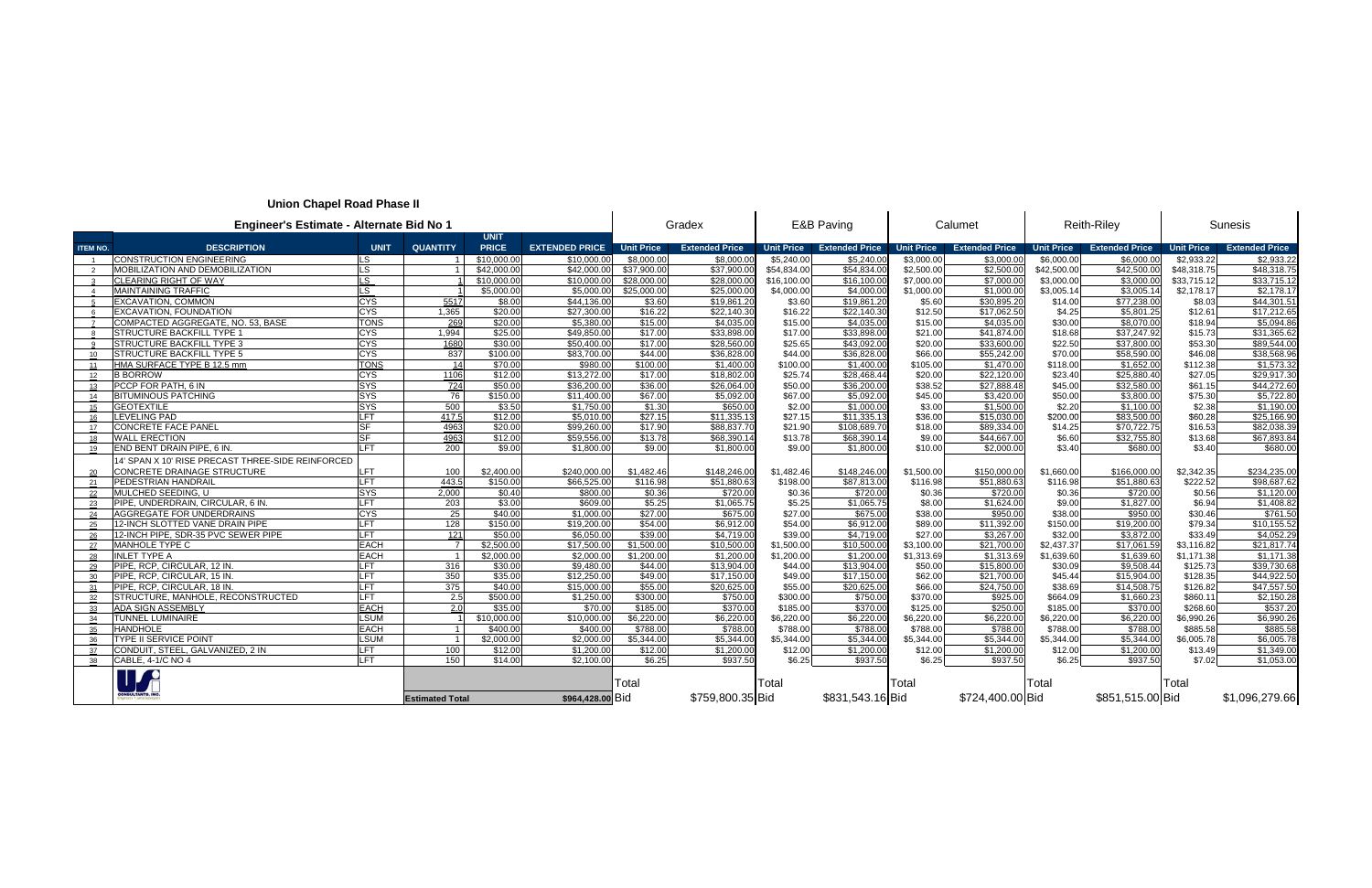## **Union Chapel Road Phase II**

| Engineer's Estimate - Alternate Bid No 1<br><b>UNIT</b> |                                                   |                          |                        |              |                       |                   | Gradex                |                   | E&B Paving            |                   | Calumet               | <b>Reith-Riley</b> |                       | <b>Sunesis</b>    |                       |
|---------------------------------------------------------|---------------------------------------------------|--------------------------|------------------------|--------------|-----------------------|-------------------|-----------------------|-------------------|-----------------------|-------------------|-----------------------|--------------------|-----------------------|-------------------|-----------------------|
| <b>ITEM NO.</b>                                         | <b>DESCRIPTION</b>                                | <b>UNIT</b>              | <b>QUANTITY</b>        | <b>PRICE</b> | <b>EXTENDED PRICE</b> | <b>Unit Price</b> | <b>Extended Price</b> | <b>Unit Price</b> | <b>Extended Price</b> | <b>Unit Price</b> | <b>Extended Price</b> | <b>Unit Price</b>  | <b>Extended Price</b> | <b>Unit Price</b> | <b>Extended Price</b> |
| $\overline{1}$                                          | <b>CONSTRUCTION ENGINEERING</b>                   | LS.                      |                        | \$10,000.00  | \$10,000.00           | \$8,000.00        | \$8,000.0             | \$5,240.00        | \$5,240.00            | \$3,000.00        | \$3,000.00            | \$6,000.00         | \$6,000.00            | \$2.933.22        | \$2,933.22            |
| $\overline{2}$                                          | <b>MOBILIZATION AND DEMOBILIZATION</b>            | LS.                      |                        | \$42,000.00  | \$42,000.00           | \$37,900.00       | \$37,900.0            | \$54,834.00       | \$54,834.00           | \$2,500.00        | \$2,500.00            | \$42,500.00        | \$42,500.00           | \$48,318.75       | \$48,318.7            |
|                                                         | <b>CLEARING RIGHT OF WAY</b>                      | <b>LS</b>                |                        | \$10,000.00  | \$10,000.00           | \$28,000.00       | \$28,000.0            | \$16,100.00       | \$16,100.0            | \$7,000.00        | \$7,000.00            | \$3,000.00         | \$3,000.0             | \$33,715.12       | \$33,715.12           |
|                                                         | <b>MAINTAINING TRAFFIC</b>                        | LS.                      |                        | \$5,000.00   | \$5,000.00            | \$25,000.00       | \$25,000.00           | \$4,000.00        | \$4,000.0             | \$1,000.00        | \$1,000.00            | \$3,005.14         | \$3,005.1             | \$2,178.17        | \$2,178.1             |
|                                                         | <b>EXCAVATION, COMMON</b>                         | <b>CYS</b>               | 5517                   | \$8.00       | \$44,136.00           | \$3.60            | \$19,861.20           | \$3.60            | \$19,861.20           | \$5.60            | \$30,895.20           | \$14.00            | \$77,238.00           | \$8.03            | \$44,301.5            |
|                                                         | EXCAVATION, FOUNDATION                            | <b>CYS</b>               | 1.365                  | \$20.00      | \$27,300.00           | \$16.22           | \$22,140.30           | \$16.22           | \$22,140.30           | \$12.50           | \$17,062.50           | \$4.25             | \$5,801.25            | \$12.61           | \$17,212.6            |
|                                                         | COMPACTED AGGREGATE, NO. 53, BASE                 | <b>TONS</b>              | 269                    | \$20.00      | \$5,380.00            | \$15.00           | \$4,035.00            | \$15.00           | \$4,035.0             | \$15.00           | \$4,035.00            | \$30.00            | \$8,070.00            | \$18.94           | \$5,094.80            |
|                                                         | STRUCTURE BACKFILL TYPE 1                         | <b>CYS</b>               | 1,994                  | \$25.00      | \$49,850.00           | \$17.00           | \$33,898.00           | \$17.00           | \$33,898.0            | \$21.00           | \$41,874.00           | \$18.68            | \$37,247.92           | \$15.73           | \$31,365.62           |
|                                                         | <b>STRUCTURE BACKFILL TYPE 3</b>                  | <b>CYS</b>               | 1680                   | \$30.00      | \$50,400.00           | \$17.00           | \$28,560.00           | \$25.65           | \$43,092.0            | \$20.00           | \$33,600.00           | \$22.50            | \$37,800.00           | \$53.30           | \$89,544.00           |
| 10 <sup>°</sup>                                         | STRUCTURE BACKFILL TYPE 5                         | <b>CYS</b>               | 837                    | \$100.00     | \$83,700.00           | \$44.00           | \$36,828.00           | \$44.00           | \$36,828.0            | \$66.00           | \$55,242.00           | \$70.00            | \$58,590.00           | \$46.08           | \$38,568.9            |
| 11                                                      | HMA SURFACE TYPE B 12.5 mm                        | <b>TONS</b>              | 14                     | \$70.00      | \$980.00              | \$100.00          | \$1,400.00            | \$100.00          | \$1,400.00            | \$105.00          | \$1,470.00            | \$118.00           | \$1,652.00            | \$112.38          | \$1,573.32            |
| 12                                                      | <b>B BORROW</b>                                   | <b>CYS</b>               | 1106                   | \$12.00      | \$13,272.00           | \$17.00           | \$18,802.00           | \$25.74           | \$28,468.44           | \$20.00           | \$22,120.00           | \$23.40            | \$25,880.40           | \$27.05           | \$29,917.30           |
| 13 <sup>13</sup>                                        | PCCP FOR PATH, 6 IN                               | <b>SYS</b>               | 724                    | \$50.00      | \$36,200.00           | \$36.00           | \$26,064.00           | \$50.00           | \$36,200.0            | \$38.52           | \$27,888.48           | \$45.00            | \$32,580.00           | \$61.15           | \$44,272.6            |
| 14                                                      | <b>BITUMINOUS PATCHING</b>                        | <b>SYS</b>               | 76                     | \$150.00     | \$11,400.00           | \$67.00           | \$5,092.00            | \$67.00           | \$5,092.0             | \$45.00           | \$3,420.00            | \$50.00            | \$3,800.00            | \$75.30           | \$5,722.80            |
| 15                                                      | <b>GEOTEXTILE</b>                                 | <b>SYS</b>               | 500                    | \$3.50       | \$1,750.00            | \$1.30            | \$650.00              | \$2.00            | \$1,000.0             | \$3.00            | \$1,500.00            | \$2.20             | \$1,100.00            | \$2.38            | \$1,190.0             |
| 16                                                      | <b>LEVELING PAD</b>                               | LFT                      | 417.5                  | \$12.00      | \$5,010.00            | \$27.15           | \$11,335.1            | \$27.15           | \$11,335.1            | \$36.00           | \$15,030.00           | \$200.00           | \$83,500.00           | \$60.28           | \$25,166.90           |
| 17                                                      | <b>CONCRETE FACE PANEL</b>                        | <b>SF</b>                | 4963                   | \$20.00      | \$99,260.00           | \$17.90           | \$88,837.7            | \$21.90           | \$108,689.7           | \$18.00           | \$89,334.00           | \$14.25            | \$70,722.75           | \$16.53           | \$82,038.39           |
| 18                                                      | <b>WALL ERECTION</b>                              | <b>SF</b>                | 4963                   | \$12.00      | \$59,556.00           | \$13.78           | \$68,390.1            | \$13.78           | \$68,390.1            | \$9.00            | \$44,667.00           | \$6.60             | \$32,755.80           | \$13.68           | \$67,893.84           |
| 19                                                      | END BENT DRAIN PIPE, 6 IN.                        | <b>LFT</b>               | $\overline{200}$       | \$9.00       | \$1,800.00            | \$9.00            | \$1,800.00            | \$9.00            | \$1,800.0             | \$10.00           | \$2,000.00            | \$3.40             | \$680.00              | \$3.40            | \$680.00              |
|                                                         | 14' SPAN X 10' RISE PRECAST THREE-SIDE REINFORCED |                          |                        |              |                       |                   |                       |                   |                       |                   |                       |                    |                       |                   |                       |
| 20                                                      | CONCRETE DRAINAGE STRUCTURE                       | LFT.                     | 100                    | \$2,400.00   | \$240,000.00          | \$1,482.46        | \$148,246.0           | \$1,482.46        | \$148,246.0           | \$1,500.00        | \$150,000.00          | \$1,660.00         | \$166,000.00          | \$2,342.35        | \$234,235.00          |
| 21                                                      | <b>PEDESTRIAN HANDRAIL</b>                        | <b>LFT</b>               | 443.5                  | \$150.00     | \$66,525.00           | \$116.98          | \$51,880.6            | \$198.00          | \$87,813.00           | \$116.98          | \$51,880.63           | \$116.98           | \$51,880.63           | \$222.52          | \$98,687.62           |
| 22                                                      | MULCHED SEEDING, U                                | <b>SYS</b>               | 2,000                  | \$0.40       | \$800.00              | \$0.36            | \$720.00              | \$0.36            | \$720.00              | \$0.36            | \$720.00              | \$0.36             | \$720.00              | \$0.56            | \$1,120.00            |
| 23                                                      | PIPE, UNDERDRAIN, CIRCULAR, 6 IN.                 | LFT                      | 203                    | \$3.00       | \$609.00              | \$5.25            | \$1,065.7             | \$5.25            | \$1,065.75            | \$8.00            | \$1,624.00            | \$9.00             | \$1,827.00            | \$6.94            | \$1,408.8             |
| 24                                                      | <b>AGGREGATE FOR UNDERDRAINS</b>                  | <b>CYS</b>               | $\overline{25}$        | \$40.00      | \$1,000.00            | \$27.00           | \$675.0               | \$27.00           | \$675.0               | \$38.00           | \$950.00              | \$38.00            | \$950.0               | \$30.46           | \$761.50              |
| 25                                                      | 12-INCH SLOTTED VANE DRAIN PIPE                   | <b>LFT</b>               | 128                    | \$150.00     | \$19,200.00           | \$54.00           | \$6,912.00            | \$54.00           | \$6,912.00            | \$89.00           | \$11,392.00           | \$150.00           | \$19,200.00           | \$79.34           | \$10,155.52           |
| 26                                                      | 12-INCH PIPE, SDR-35 PVC SEWER PIPE               | <b>LFT</b>               | $\overline{121}$       | \$50.00      | \$6,050.00            | \$39.00           | \$4,719.00            | \$39.00           | \$4,719.00            | \$27.00           | \$3,267.00            | \$32.00            | \$3,872.00            | \$33.49           | \$4,052.29            |
| 27                                                      | MANHOLE TYPE C                                    | <b>EACH</b>              | $\overline{7}$         | \$2,500.00   | \$17,500.00           | \$1,500.00        | \$10,500.0            | \$1,500.00        | \$10,500.0            | \$3,100.00        | \$21,700.00           | \$2,437.37         | \$17,061.59           | \$3,116.82        | \$21,817.74           |
| 28                                                      | <b>INLET TYPE A</b>                               | <b>EACH</b>              |                        | \$2,000.00   | \$2,000.00            | \$1,200.00        | \$1,200.00            | \$1,200.00        | \$1,200.0             | \$1,313.69        | \$1,313.69            | \$1,639.60         | \$1,639.60            | \$1,171.38        | \$1,171.38            |
| 29                                                      | PIPE, RCP, CIRCULAR, 12 IN.                       | <b>LFT</b>               | 316                    | \$30.00      | \$9,480.00            | \$44.00           | \$13,904.00           | \$44.00           | \$13,904.0            | \$50.00           | \$15,800.00           | \$30.09            | \$9.508.4             | \$125.73          | \$39,730.68           |
| $30^{\circ}$                                            | PIPE, RCP, CIRCULAR, 15 IN.                       | <b>LFT</b>               | 350                    | \$35.00      | \$12,250.00           | \$49.00           | \$17,150.00           | \$49.00           | \$17,150.00           | \$62.00           | \$21,700.00           | \$45.44            | \$15,904.00           | \$128.35          | \$44,922.50           |
| 31                                                      | PIPE, RCP, CIRCULAR, 18 IN.                       | <b>LFT</b>               | 375                    | \$40.00      | \$15,000.00           | \$55.00           | \$20,625.00           | \$55.00           | \$20,625.0            | \$66.00           | \$24,750.00           | \$38.69            | \$14,508.75           | \$126.82          | \$47,557.50           |
| 32                                                      | STRUCTURE, MANHOLE, RECONSTRUCTED                 | <b>LFT</b>               | 2.5                    | \$500.00     | \$1,250.00            | \$300.00          | \$750.00              | \$300.00          | \$750.00              | \$370.00          | \$925.00              | \$664.09           | \$1,660.23            | \$860.11          | \$2,150.28            |
| 33                                                      | <b>ADA SIGN ASSEMBLY</b>                          | <b>EACH</b>              | 2.0                    | \$35.00      | \$70.00               | \$185.00          | \$370.00              | \$185.00          | \$370.0               | \$125.00          | \$250.00              | \$185.00           | \$370.00              | \$268.60          | \$537.20              |
| 34                                                      | <b>TUNNEL LUMINAIRE</b>                           | <b>LSUM</b>              |                        | \$10,000.00  | \$10,000.00           | \$6,220.00        | \$6,220.00            | \$6,220.00        | \$6,220.0             | \$6,220.00        | \$6,220.00            | \$6,220.00         | \$6,220.00            | \$6,990.26        | \$6,990.20            |
| 35                                                      | <b>HANDHOLE</b>                                   | <b>EACH</b>              |                        | \$400.00     | \$400.00              | \$788.00          | \$788.00              | \$788.00          | \$788.0               | \$788.00          | \$788.00              | \$788.00           | \$788.00              | \$885.58          | \$885.58              |
| 36                                                      | <b>TYPE II SERVICE POINT</b>                      | <b>LSUM</b>              | $\overline{1}$         | \$2,000.00   | \$2,000.00            | \$5,344.00        | \$5,344.00            | \$5,344.00        | \$5,344.0             | \$5,344.00        | \$5,344.00            | \$5,344.00         | \$5,344.00            | \$6,005.78        | \$6,005.78            |
| 37                                                      | CONDUIT, STEEL, GALVANIZED, 2 IN                  | <b>LFT</b><br><b>LFT</b> | 100<br>150             | \$12.00      | \$1,200.00            | \$12.00<br>\$6.25 | \$1,200.00            | \$12.00           | \$1,200.00            | \$12.00           | \$1,200.00            | \$12.00            | \$1,200.00            | \$13.49           | \$1,349.00            |
| 38                                                      | CABLE, 4-1/C NO 4                                 |                          |                        | \$14.00      | \$2.100.0             |                   | \$937.50              | \$6.25            | \$937.50              | \$6.25            | \$937.50              | \$6.25             | \$937.50              | \$7.02            | \$1,053.00            |
|                                                         |                                                   |                          |                        |              |                       | Total             |                       | Total             |                       | Total             |                       | Total              |                       | Total             |                       |
|                                                         |                                                   |                          |                        |              |                       |                   |                       |                   |                       |                   | \$724,400.00 Bid      |                    |                       |                   |                       |
|                                                         |                                                   |                          | <b>Estimated Total</b> |              | \$964,428.00 Bid      |                   | \$759,800.35 Bid      |                   | \$831,543.16 Bid      |                   |                       |                    | \$851,515.00 Bid      |                   | \$1,096,279.66        |